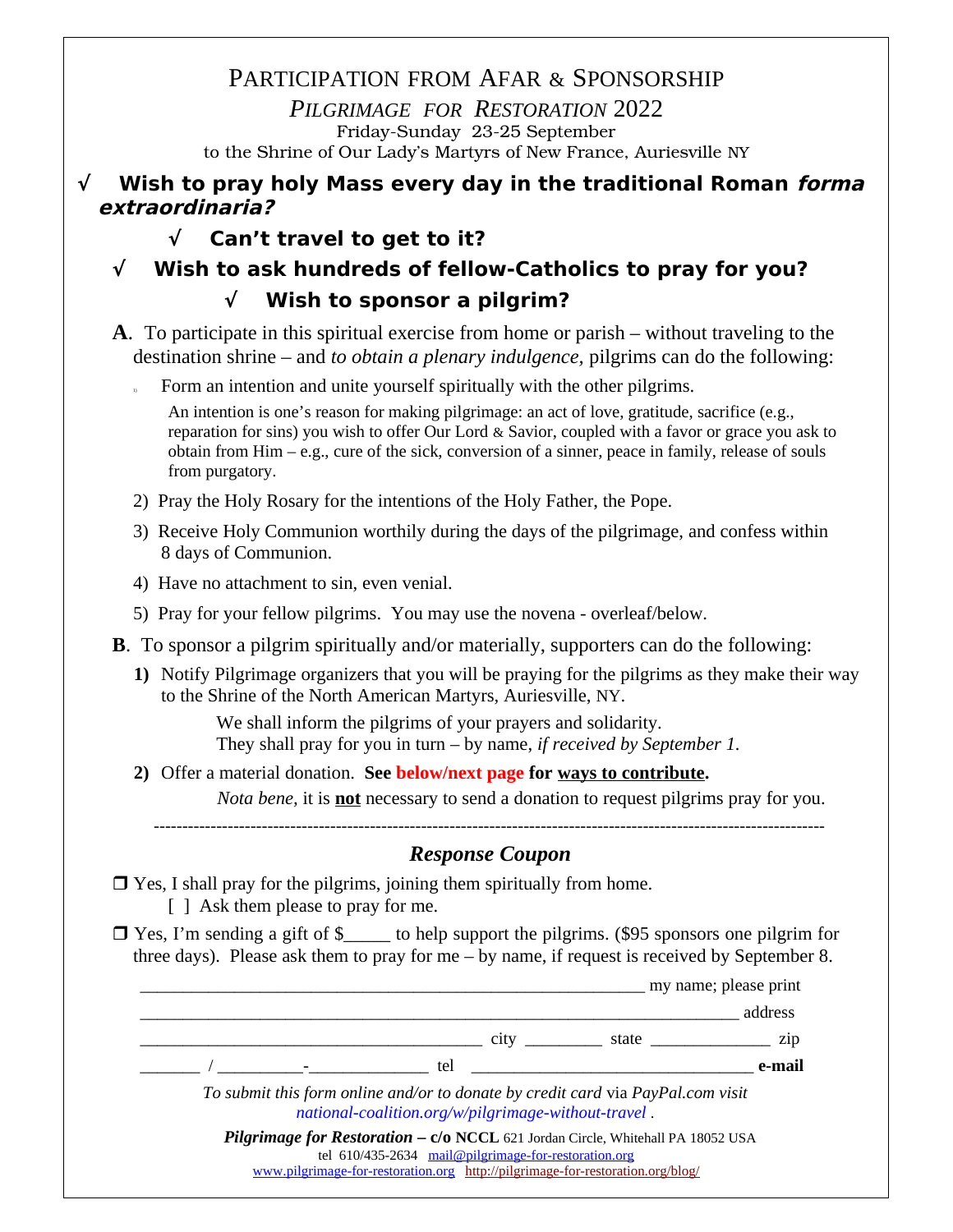PARTICIPATION FROM AFAR & SPONSORSHIP *PILGRIMAGE FOR RESTORATION* 2022 Friday-Sunday 23-25 September to the Shrine of Our Lady's Martyrs of New France, Auriesville NY

### **√ Wish to pray holy Mass every day in the traditional Roman forma extraordinaria?**

# **√ Can't travel to get to it?**

**√ Wish to ask hundreds of fellow-Catholics to pray for you? √ Wish to sponsor a pilgrim?**

- **A**. To participate in this spiritual exercise from home or parish without traveling to the destination shrine – and *to obtain a plenary indulgence,* pilgrims can do the following:
	- <sup>1</sup> Form an intention and unite yourself spiritually with the other pilgrims.

An intention is one's reason for making pilgrimage: an act of love, gratitude, sacrifice (e.g., reparation for sins) you wish to offer Our Lord & Savior, coupled with a favor or grace you ask to obtain from Him – e.g., cure of the sick, conversion of a sinner, peace in family, release of souls from purgatory.

- 2) Pray the Holy Rosary for the intentions of the Holy Father, the Pope.
- 3) Receive Holy Communion worthily during the days of the pilgrimage, and confess within 8 days of Communion.
- 4) Have no attachment to sin, even venial.
- 5) Pray for your fellow pilgrims. You may use the novena overleaf/below.
- **B**. To sponsor a pilgrim spiritually and/or materially, supporters can do the following:
	- **1)** Notify Pilgrimage organizers that you will be praying for the pilgrims as they make their way to the Shrine of the North American Martyrs, Auriesville, NY.

We shall inform the pilgrims of your prayers and solidarity. They shall pray for you in turn – by name, *if received by September 1.*

**2)** Offer a material donation. **See below/next page for ways to contribute.** *Nota bene,* it is **not** necessary to send a donation to request pilgrims pray for you.

----------------------------------------------------------------------------------------------------------------------

### *Response Coupon*

- $\Box$  Yes, I shall pray for the pilgrims, joining them spiritually from home. [ ] Ask them please to pray for me.
- $\Box$  Yes, I'm sending a gift of \$ to help support the pilgrims. (\$95 sponsors one pilgrim for three days). Please ask them to pray for me – by name, if request is received by September 8.

\_\_\_\_\_\_\_\_\_\_\_\_\_\_\_\_\_\_\_\_\_\_\_\_\_\_\_\_\_\_\_\_\_\_\_\_\_\_\_\_\_\_\_\_\_\_\_\_\_\_\_\_\_\_\_\_\_\_\_ my name; please print  $address$ \_\_\_\_\_\_\_\_\_\_\_\_\_\_\_\_\_\_\_\_\_\_\_\_\_\_\_\_\_\_\_\_\_\_\_\_\_\_\_\_ city \_\_\_\_\_\_\_\_\_ state \_\_\_\_\_\_\_\_\_\_\_\_\_\_ zip \_\_\_\_\_\_\_ / \_\_\_\_\_\_\_\_\_\_-\_\_\_\_\_\_\_\_\_\_\_\_\_\_ tel \_\_\_\_\_\_\_\_\_\_\_\_\_\_\_\_\_\_\_\_\_\_\_\_\_\_\_\_\_\_\_\_\_ **e-mail** *To submit this form online and/or to donate by credit card* via *PayPal.com visit [national-coalition.org/w/pilgrimage-without-travel](http://national-coalition.org/w/pilgrimage-without-travel/)* . **Pilgrimage for Restoration – c/o NCCL 621 Jordan Circle, Whitehall PA 18052 USA** tel 610/435-2634 [mail@pilgrimage-for-restoration.org](mailto:mail@pilgrimage-for-restoration.org?subject=inquiry%20Pilgrimage%202022%20-%20prayers,%20sponsorship,%20indulgence) [www.pilgrimage-for-restoration.org](http://www.pilgrimage-for-restoration.org/) <http://pilgrimage-for-restoration.org/blog/>